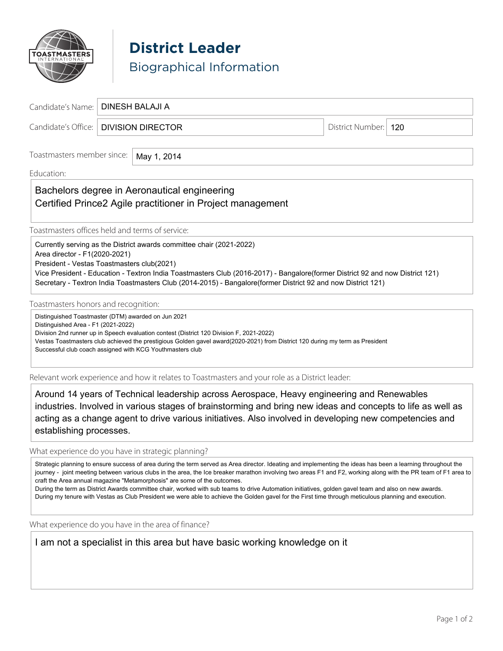

**District Leader** Biographical Information

| Candidate's Name:   DINESH BALAJI A     |                      |  |
|-----------------------------------------|----------------------|--|
| Candidate's Office:   DIVISION DIRECTOR | District Number: 120 |  |
|                                         |                      |  |

Toastmasters member since: May 1, 2014

### Education: \_\_\_\_\_\_\_\_\_\_\_\_\_\_\_\_\_\_\_\_\_\_\_\_\_\_\_\_\_\_\_\_\_\_\_\_\_\_\_\_\_\_\_\_\_\_\_\_\_\_\_\_\_\_\_\_\_\_\_\_\_\_\_\_\_\_\_\_\_\_\_\_\_\_\_\_\_\_\_\_\_\_\_\_\_\_\_\_\_\_\_\_\_

## Bachelors degree in Aeronautical engineering and all the state of the state of the state of the state of the state of the state of the state of the state of the state of the state of the state of the state of the state of  $\Box$ Certified Prince2 Agile practitioner in Project management

Toastmasters offices held and terms of service:

Currently serving as the District awards committee chair (2021-2022)

Area director - F1(2020-2021)

President - Vestas Toastmasters club(2021)

Vice President - Education - Textron India Toastmasters Club (2016-2017) - Bangalore(former District 92 and now District 121) Secretary - Textron India Toastmasters Club (2014-2015) - Bangalore(former District 92 and now District 121)

Toastmasters honors and recognition:

Distinguished Toastmaster (DTM) awarded on Jun 2021

Distinguished Area - F1 (2021-2022)

Division 2nd runner up in Speech evaluation contest (District 120 Division F, 2021-2022)

Vestas Toastmasters club achieved the prestigious Golden gavel award(2020-2021) from District 120 during my term as President Successful club coach assigned with KCG Youthmasters club

Relevant work experience and how it relates to Toastmasters and your role as a District leader:

Around 14 years of Technical leadership across Aerospace, Heavy engineering and Renewables industries. Involved in various stages of brainstorming and bring new ideas and concepts to life as well as acting as a change agent to drive various initiatives. Also involved in developing new competencies and establishing processes.

What experience do you have in strategic planning?

Strategic planning to ensure success of area during the term served as Area director. Ideating and implementing the ideas has been a learning throughout the journey - joint meeting between various clubs in the area, the Ice breaker marathon involving two areas F1 and F2, working along with the PR team of F1 area to craft the Area annual magazine "Metamorphosis" are some of the outcomes.

During the term as District Awards committee chair, worked with sub teams to drive Automation initiatives, golden gavel team and also on new awards. During my tenure with Vestas as Club President we were able to achieve the Golden gavel for the First time through meticulous planning and execution.

What experience do you have in the area of finance?

I am not a specialist in this area but have basic working knowledge on it